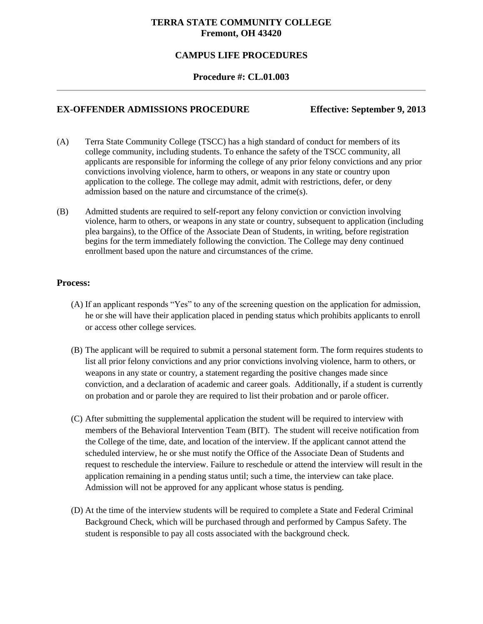# **TERRA STATE COMMUNITY COLLEGE Fremont, OH 43420**

# **CAMPUS LIFE PROCEDURES**

#### **Procedure #: CL.01.003**

# **EX-OFFENDER ADMISSIONS PROCEDURE Effective: September 9, 2013**

- (A) Terra State Community College (TSCC) has a high standard of conduct for members of its college community, including students. To enhance the safety of the TSCC community, all applicants are responsible for informing the college of any prior felony convictions and any prior convictions involving violence, harm to others, or weapons in any state or country upon application to the college. The college may admit, admit with restrictions, defer, or deny admission based on the nature and circumstance of the crime(s).
- (B) Admitted students are required to self**-**report any felony conviction or conviction involving violence, harm to others, or weapons in any state or country, subsequent to application (including plea bargains), to the Office of the Associate Dean of Students, in writing, before registration begins for the term immediately following the conviction. The College may deny continued enrollment based upon the nature and circumstances of the crime.

#### **Process:**

- (A) If an applicant responds "Yes" to any of the screening question on the application for admission, he or she will have their application placed in pending status which prohibits applicants to enroll or access other college services.
- (B) The applicant will be required to submit a personal statement form. The form requires students to list all prior felony convictions and any prior convictions involving violence, harm to others, or weapons in any state or country, a statement regarding the positive changes made since conviction, and a declaration of academic and career goals. Additionally, if a student is currently on probation and or parole they are required to list their probation and or parole officer.
- (C) After submitting the supplemental application the student will be required to interview with members of the Behavioral Intervention Team (BIT). The student will receive notification from the College of the time, date, and location of the interview. If the applicant cannot attend the scheduled interview, he or she must notify the Office of the Associate Dean of Students and request to reschedule the interview. Failure to reschedule or attend the interview will result in the application remaining in a pending status until; such a time, the interview can take place. Admission will not be approved for any applicant whose status is pending.
- (D) At the time of the interview students will be required to complete a State and Federal Criminal Background Check, which will be purchased through and performed by Campus Safety. The student is responsible to pay all costs associated with the background check.